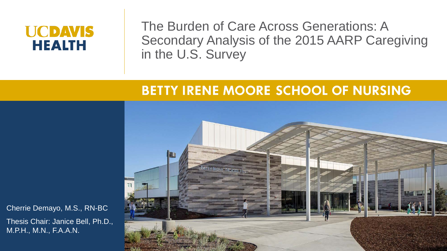# **UCDAVIS HEALTH**

The Burden of Care Across Generations: A Secondary Analysis of the 2015 AARP Caregiving in the U.S. Survey

# **BETTY IRENE MOORE SCHOOL OF NURSING**



Cherrie Demayo, M.S., RN-BC

Thesis Chair: Janice Bell, Ph.D., M.P.H., M.N., F.A.A.N.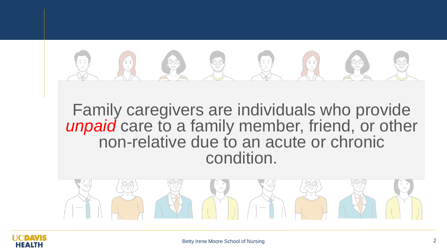

Family caregivers are individuals who provide *unpaid* care to a family member, friend, or other non-relative due to an acute or chronic condition.



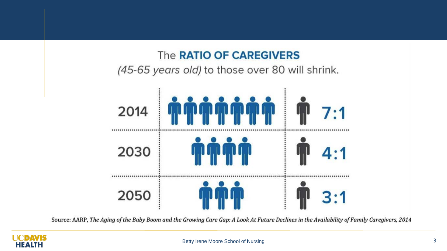### The RATIO OF CAREGIVERS

(45-65 years old) to those over 80 will shrink.



Source: AARP, The Aging of the Baby Boom and the Growing Care Gap: A Look At Future Declines in the Availability of Family Caregivers, 2014

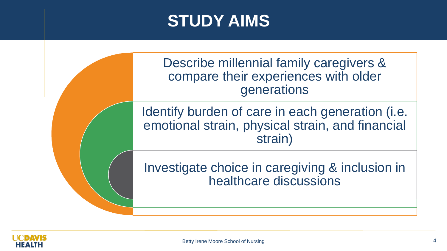# **STUDY AIMS**

Describe millennial family caregivers & compare their experiences with older generations

Identify burden of care in each generation (i.e. emotional strain, physical strain, and financial strain)

Investigate choice in caregiving & inclusion in healthcare discussions

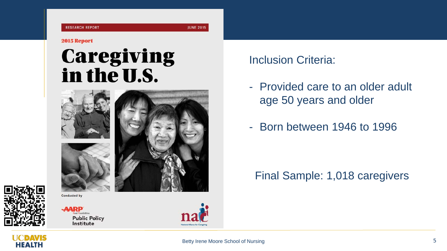#### 2015 Report

# **Caregiving** in the U.S.







eal Possibilities **Public Policy** Institute

**Conducted by** 



Inclusion Criteria:

- Provided care to an older adult age 50 years and older
- Born between 1946 to 1996

Final Sample: 1,018 caregivers

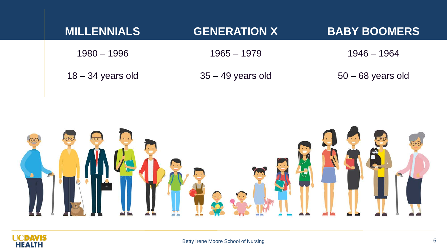| <b>MILLENNIALS</b>  | <b>GENERATION X</b> | <b>BABY BOOMERS</b> |
|---------------------|---------------------|---------------------|
| $1980 - 1996$       | $1965 - 1979$       | 1946 – 1964         |
| $18 - 34$ years old | $35 - 49$ years old | $50 - 68$ years old |



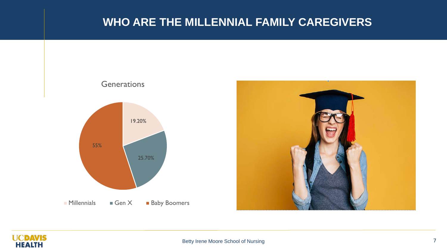#### **WHO ARE THE MILLENNIAL FAMILY CAREGIVERS**





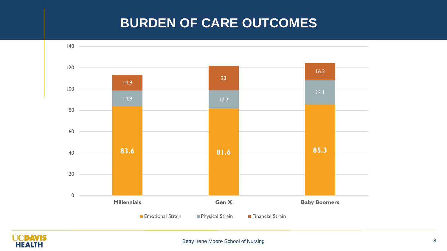# **BURDEN OF CARE OUTCOMES**



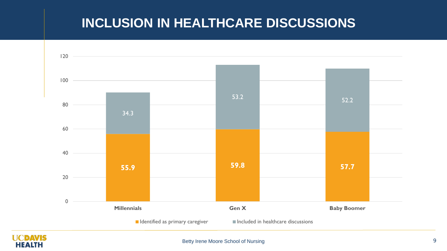# **INCLUSION IN HEALTHCARE DISCUSSIONS**